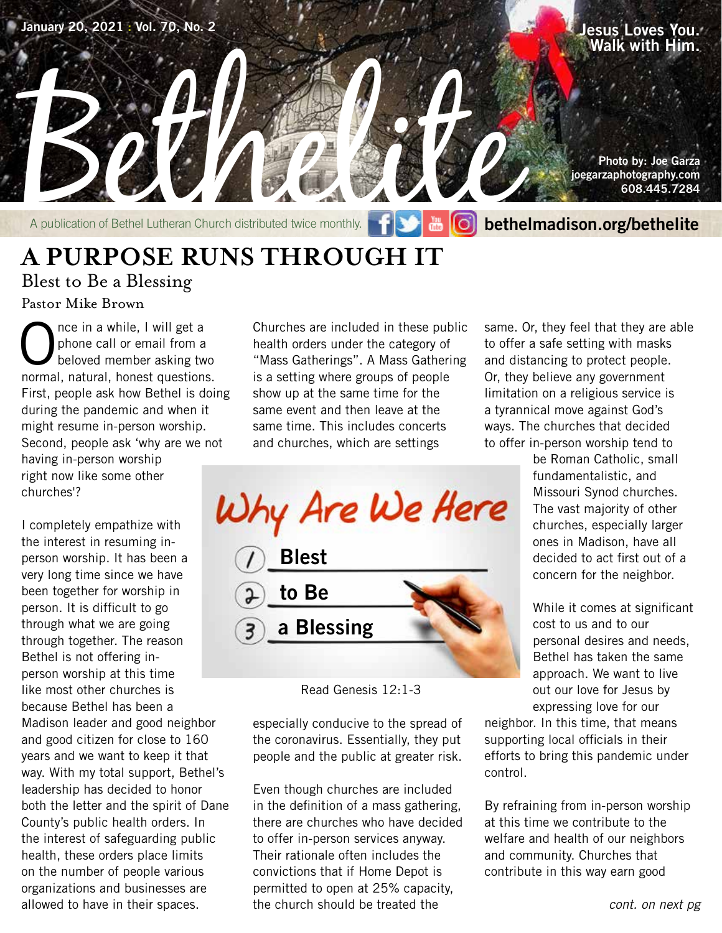

### **A PURPOSE RUNS THROUGH IT** Blest to Be a Blessing

Pastor Mike Brown

Once in a while, I will get a<br>phone call or email from a<br>beloved member asking two phone call or email from a beloved member asking two normal, natural, honest questions. First, people ask how Bethel is doing during the pandemic and when it might resume in-person worship. Second, people ask 'why are we not having in-person worship right now like some other churches'?

I completely empathize with the interest in resuming inperson worship. It has been a very long time since we have been together for worship in person. It is difficult to go through what we are going through together. The reason Bethel is not offering inperson worship at this time like most other churches is because Bethel has been a Madison leader and good neighbor and good citizen for close to 160 years and we want to keep it that way. With my total support, Bethel's leadership has decided to honor both the letter and the spirit of Dane County's public health orders. In the interest of safeguarding public health, these orders place limits on the number of people various organizations and businesses are allowed to have in their spaces.

Churches are included in these public health orders under the category of "Mass Gatherings". A Mass Gathering is a setting where groups of people show up at the same time for the same event and then leave at the same time. This includes concerts and churches, which are settings

Why Are We Here **Blest to Be a Blessing**

especially conducive to the spread of the coronavirus. Essentially, they put people and the public at greater risk.

Even though churches are included in the definition of a mass gathering, there are churches who have decided to offer in-person services anyway. Their rationale often includes the convictions that if Home Depot is permitted to open at 25% capacity, the church should be treated the

same. Or, they feel that they are able to offer a safe setting with masks and distancing to protect people. Or, they believe any government limitation on a religious service is a tyrannical move against God's ways. The churches that decided to offer in-person worship tend to

> be Roman Catholic, small fundamentalistic, and Missouri Synod churches. The vast majority of other churches, especially larger ones in Madison, have all decided to act first out of a concern for the neighbor.

While it comes at significant cost to us and to our personal desires and needs, Bethel has taken the same approach. We want to live out our love for Jesus by expressing love for our

neighbor. In this time, that means supporting local officials in their efforts to bring this pandemic under control.

By refraining from in-person worship at this time we contribute to the welfare and health of our neighbors and community. Churches that contribute in this way earn good

Read Genesis 12:1-3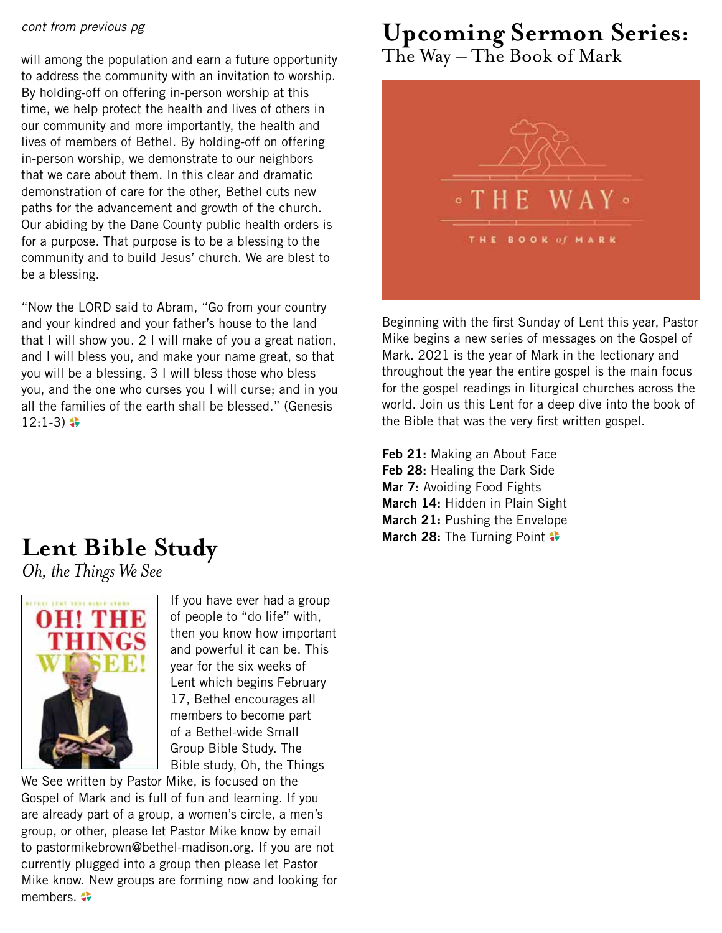### *cont from previous pg*

will among the population and earn a future opportunity to address the community with an invitation to worship. By holding-off on offering in-person worship at this time, we help protect the health and lives of others in our community and more importantly, the health and lives of members of Bethel. By holding-off on offering in-person worship, we demonstrate to our neighbors that we care about them. In this clear and dramatic demonstration of care for the other, Bethel cuts new paths for the advancement and growth of the church. Our abiding by the Dane County public health orders is for a purpose. That purpose is to be a blessing to the community and to build Jesus' church. We are blest to be a blessing.

"Now the LORD said to Abram, "Go from your country and your kindred and your father's house to the land that I will show you. 2 I will make of you a great nation, and I will bless you, and make your name great, so that you will be a blessing. 3 I will bless those who bless you, and the one who curses you I will curse; and in you all the families of the earth shall be blessed." (Genesis  $12:1-3$ )  $\bullet$ 

### **Upcoming Sermon Series:** The Way – The Book of Mark



Beginning with the first Sunday of Lent this year, Pastor Mike begins a new series of messages on the Gospel of Mark. 2021 is the year of Mark in the lectionary and throughout the year the entire gospel is the main focus for the gospel readings in liturgical churches across the world. Join us this Lent for a deep dive into the book of the Bible that was the very first written gospel.

**Feb 21:** Making an About Face **Feb 28:** Healing the Dark Side **Mar 7:** Avoiding Food Fights **March 14:** Hidden in Plain Sight **March 21:** Pushing the Envelope **March 28:** The Turning Point  $\bullet$ 

# **Lent Bible Study**

*Oh, the Things We See*



If you have ever had a group of people to "do life" with, then you know how important and powerful it can be. This year for the six weeks of Lent which begins February 17, Bethel encourages all members to become part of a Bethel-wide Small Group Bible Study. The Bible study, Oh, the Things

We See written by Pastor Mike, is focused on the Gospel of Mark and is full of fun and learning. If you are already part of a group, a women's circle, a men's group, or other, please let Pastor Mike know by email to pastormikebrown@bethel-madison.org. If you are not currently plugged into a group then please let Pastor Mike know. New groups are forming now and looking for members.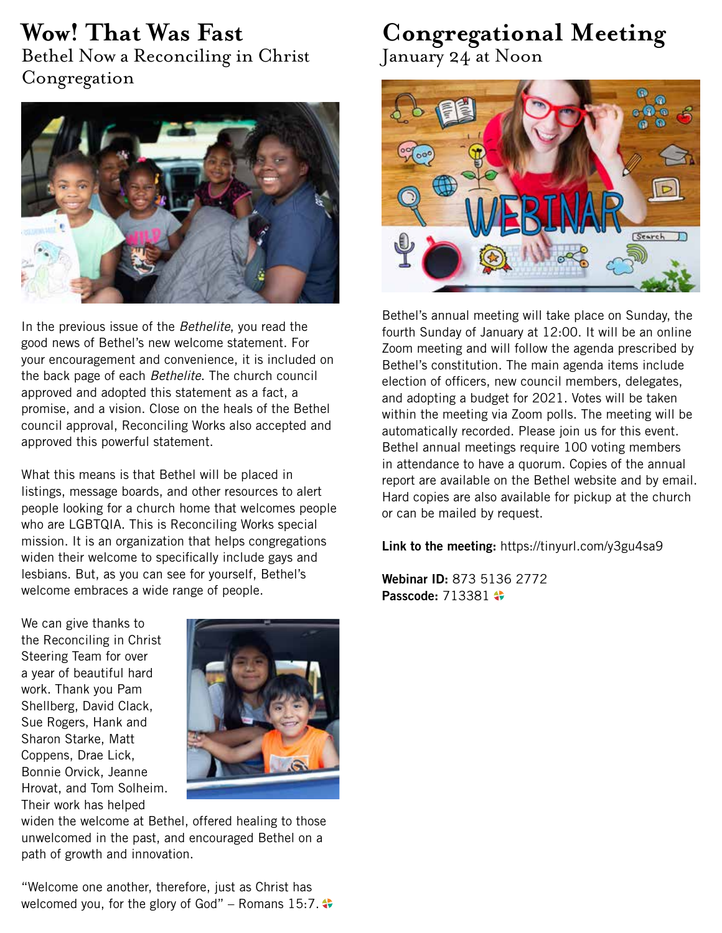# **Wow! That Was Fast**

Bethel Now a Reconciling in Christ Congregation



In the previous issue of the *Bethelite*, you read the good news of Bethel's new welcome statement. For your encouragement and convenience, it is included on the back page of each *Bethelite*. The church council approved and adopted this statement as a fact, a promise, and a vision. Close on the heals of the Bethel council approval, Reconciling Works also accepted and approved this powerful statement.

What this means is that Bethel will be placed in listings, message boards, and other resources to alert people looking for a church home that welcomes people who are LGBTQIA. This is Reconciling Works special mission. It is an organization that helps congregations widen their welcome to specifically include gays and lesbians. But, as you can see for yourself, Bethel's welcome embraces a wide range of people.

# **Congregational Meeting**

January 24 at Noon



Bethel's annual meeting will take place on Sunday, the fourth Sunday of January at 12:00. It will be an online Zoom meeting and will follow the agenda prescribed by Bethel's constitution. The main agenda items include election of officers, new council members, delegates, and adopting a budget for 2021. Votes will be taken within the meeting via Zoom polls. The meeting will be automatically recorded. Please join us for this event. Bethel annual meetings require 100 voting members in attendance to have a quorum. Copies of the annual report are available on the Bethel website and by email. Hard copies are also available for pickup at the church or can be mailed by request.

**Link to the meeting:** https://tinyurl.com/y3gu4sa9

**Webinar ID:** 873 5136 2772 **Passcode:** 713381

We can give thanks to the Reconciling in Christ Steering Team for over a year of beautiful hard work. Thank you Pam Shellberg, David Clack, Sue Rogers, Hank and Sharon Starke, Matt Coppens, Drae Lick, Bonnie Orvick, Jeanne Hrovat, and Tom Solheim. Their work has helped



widen the welcome at Bethel, offered healing to those unwelcomed in the past, and encouraged Bethel on a path of growth and innovation.

"Welcome one another, therefore, just as Christ has welcomed you, for the glory of God" – Romans 15:7.  $\bullet\bullet$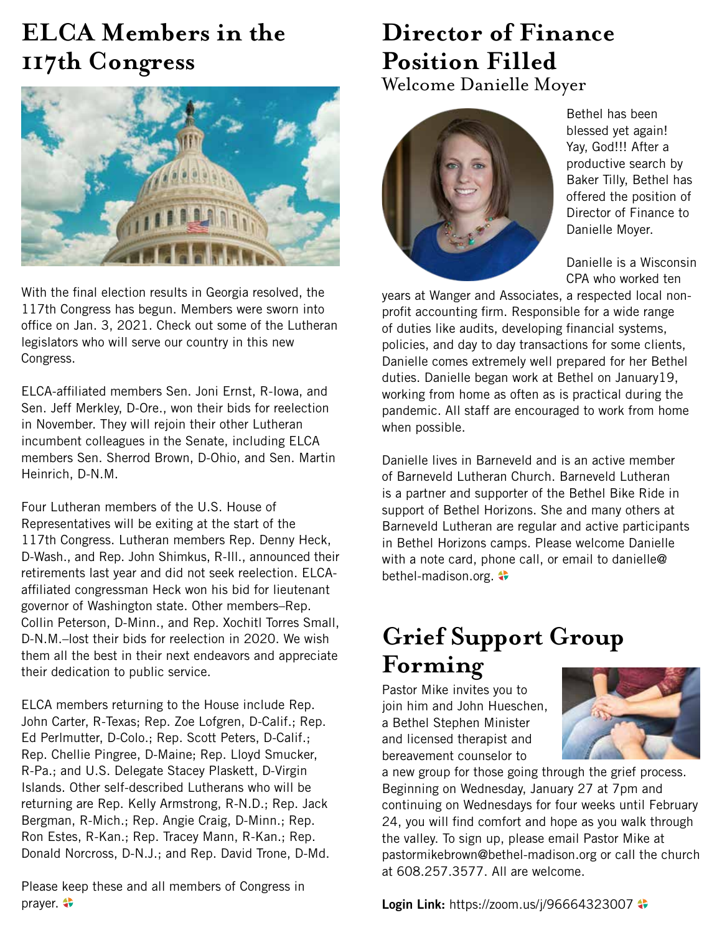## **ELCA Members in the 117th Congress**



With the final election results in Georgia resolved, the 117th Congress has begun. Members were sworn into office on Jan. 3, 2021. Check out some of the Lutheran legislators who will serve our country in this new Congress.

ELCA-affiliated members Sen. Joni Ernst, R-Iowa, and Sen. Jeff Merkley, D-Ore., won their bids for reelection in November. They will rejoin their other Lutheran incumbent colleagues in the Senate, including ELCA members Sen. Sherrod Brown, D-Ohio, and Sen. Martin Heinrich, D-N.M.

Four Lutheran members of the U.S. House of Representatives will be exiting at the start of the 117th Congress. Lutheran members Rep. Denny Heck, D-Wash., and Rep. John Shimkus, R-Ill., announced their retirements last year and did not seek reelection. ELCAaffiliated congressman Heck won his bid for lieutenant governor of Washington state. Other members–Rep. Collin Peterson, D-Minn., and Rep. Xochitl Torres Small, D-N.M.–lost their bids for reelection in 2020. We wish them all the best in their next endeavors and appreciate their dedication to public service.

ELCA members returning to the House include Rep. John Carter, R-Texas; Rep. Zoe Lofgren, D-Calif.; Rep. Ed Perlmutter, D-Colo.; Rep. Scott Peters, D-Calif.; Rep. Chellie Pingree, D-Maine; Rep. Lloyd Smucker, R-Pa.; and U.S. Delegate Stacey Plaskett, D-Virgin Islands. Other self-described Lutherans who will be returning are Rep. Kelly Armstrong, R-N.D.; Rep. Jack Bergman, R-Mich.; Rep. Angie Craig, D-Minn.; Rep. Ron Estes, R-Kan.; Rep. Tracey Mann, R-Kan.; Rep. Donald Norcross, D-N.J.; and Rep. David Trone, D-Md.

Please keep these and all members of Congress in prayer.

### **Director of Finance Position Filled** Welcome Danielle Moyer



Bethel has been blessed yet again! Yay, God!!! After a productive search by Baker Tilly, Bethel has offered the position of Director of Finance to Danielle Moyer.

Danielle is a Wisconsin CPA who worked ten

years at Wanger and Associates, a respected local nonprofit accounting firm. Responsible for a wide range of duties like audits, developing financial systems, policies, and day to day transactions for some clients, Danielle comes extremely well prepared for her Bethel duties. Danielle began work at Bethel on January19, working from home as often as is practical during the pandemic. All staff are encouraged to work from home when possible.

Danielle lives in Barneveld and is an active member of Barneveld Lutheran Church. Barneveld Lutheran is a partner and supporter of the Bethel Bike Ride in support of Bethel Horizons. She and many others at Barneveld Lutheran are regular and active participants in Bethel Horizons camps. Please welcome Danielle with a note card, phone call, or email to danielle@ bethel-madison.org.

## **Grief Support Group Forming**

Pastor Mike invites you to join him and John Hueschen, a Bethel Stephen Minister and licensed therapist and bereavement counselor to



a new group for those going through the grief process. Beginning on Wednesday, January 27 at 7pm and continuing on Wednesdays for four weeks until February 24, you will find comfort and hope as you walk through the valley. To sign up, please email Pastor Mike at pastormikebrown@bethel-madison.org or call the church at 608.257.3577. All are welcome.

**Login Link: https://zoom.us/j/96664323007**  $\bullet$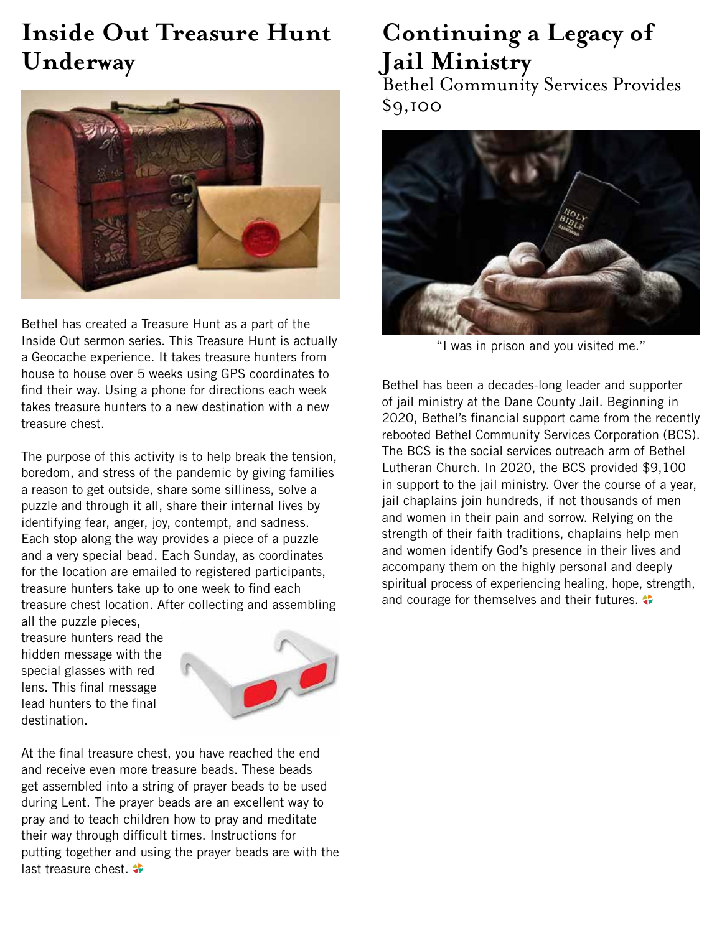## **Inside Out Treasure Hunt Underway**



Bethel has created a Treasure Hunt as a part of the Inside Out sermon series. This Treasure Hunt is actually a Geocache experience. It takes treasure hunters from house to house over 5 weeks using GPS coordinates to find their way. Using a phone for directions each week takes treasure hunters to a new destination with a new treasure chest.

The purpose of this activity is to help break the tension, boredom, and stress of the pandemic by giving families a reason to get outside, share some silliness, solve a puzzle and through it all, share their internal lives by identifying fear, anger, joy, contempt, and sadness. Each stop along the way provides a piece of a puzzle and a very special bead. Each Sunday, as coordinates for the location are emailed to registered participants, treasure hunters take up to one week to find each treasure chest location. After collecting and assembling all the puzzle pieces,

treasure hunters read the hidden message with the special glasses with red lens. This final message lead hunters to the final destination.



At the final treasure chest, you have reached the end and receive even more treasure beads. These beads get assembled into a string of prayer beads to be used during Lent. The prayer beads are an excellent way to pray and to teach children how to pray and meditate their way through difficult times. Instructions for putting together and using the prayer beads are with the last treasure chest.

## **Continuing a Legacy of Jail Ministry**

Bethel Community Services Provides \$9,100



"I was in prison and you visited me."

Bethel has been a decades-long leader and supporter of jail ministry at the Dane County Jail. Beginning in 2020, Bethel's financial support came from the recently rebooted Bethel Community Services Corporation (BCS). The BCS is the social services outreach arm of Bethel Lutheran Church. In 2020, the BCS provided \$9,100 in support to the jail ministry. Over the course of a year, jail chaplains join hundreds, if not thousands of men and women in their pain and sorrow. Relying on the strength of their faith traditions, chaplains help men and women identify God's presence in their lives and accompany them on the highly personal and deeply spiritual process of experiencing healing, hope, strength, and courage for themselves and their futures.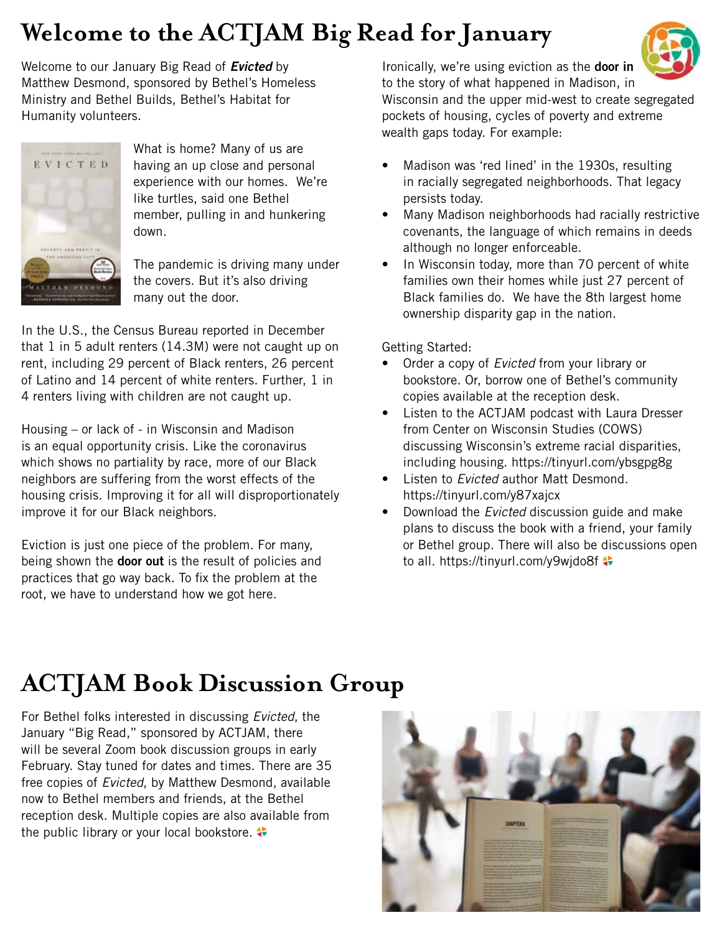## **Welcome to the ACTJAM Big Read for January**

Welcome to our January Big Read of *Evicted* by Matthew Desmond, sponsored by Bethel's Homeless Ministry and Bethel Builds, Bethel's Habitat for Humanity volunteers.



What is home? Many of us are having an up close and personal experience with our homes. We're like turtles, said one Bethel member, pulling in and hunkering down.

The pandemic is driving many under the covers. But it's also driving many out the door.

In the U.S., the Census Bureau reported in December that 1 in 5 adult renters (14.3M) were not caught up on rent, including 29 percent of Black renters, 26 percent of Latino and 14 percent of white renters. Further, 1 in 4 renters living with children are not caught up.

Housing – or lack of - in Wisconsin and Madison is an equal opportunity crisis. Like the coronavirus which shows no partiality by race, more of our Black neighbors are suffering from the worst effects of the housing crisis. Improving it for all will disproportionately improve it for our Black neighbors.

Eviction is just one piece of the problem. For many, being shown the **door out** is the result of policies and practices that go way back. To fix the problem at the root, we have to understand how we got here.

Ironically, we're using eviction as the **door in** to the story of what happened in Madison, in



Wisconsin and the upper mid-west to create segregated pockets of housing, cycles of poverty and extreme wealth gaps today. For example:

- Madison was 'red lined' in the 1930s, resulting in racially segregated neighborhoods. That legacy persists today.
- Many Madison neighborhoods had racially restrictive covenants, the language of which remains in deeds although no longer enforceable.
- In Wisconsin today, more than 70 percent of white families own their homes while just 27 percent of Black families do. We have the 8th largest home ownership disparity gap in the nation.

Getting Started:

- Order a copy of *Evicted* from your library or bookstore. Or, borrow one of Bethel's community copies available at the reception desk.
- Listen to the ACTJAM podcast with Laura Dresser from Center on Wisconsin Studies (COWS) discussing Wisconsin's extreme racial disparities, including housing. https://tinyurl.com/ybsgpg8g
- Listen to *Evicted* author Matt Desmond. https://tinyurl.com/y87xajcx
- Download the *Evicted* discussion guide and make plans to discuss the book with a friend, your family or Bethel group. There will also be discussions open to all. https://tinyurl.com/y9wjdo8f  $\clubsuit$

## **ACTJAM Book Discussion Group**

For Bethel folks interested in discussing *Evicted*, the January "Big Read," sponsored by ACTJAM, there will be several Zoom book discussion groups in early February. Stay tuned for dates and times. There are 35 free copies of *Evicted*, by Matthew Desmond, available now to Bethel members and friends, at the Bethel reception desk. Multiple copies are also available from the public library or your local bookstore.

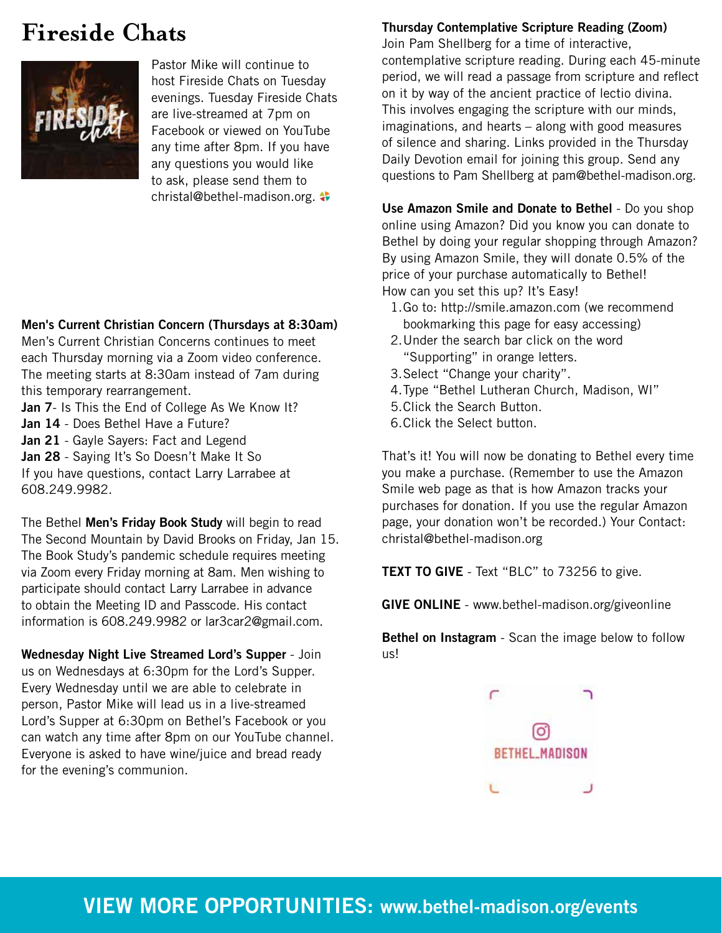### **Fireside Chats**



Pastor Mike will continue to host Fireside Chats on Tuesday evenings. Tuesday Fireside Chats are live-streamed at 7pm on Facebook or viewed on YouTube any time after 8pm. If you have any questions you would like to ask, please send them to christal@bethel-madison.org.  $\leftrightarrow$ 

### **Men's Current Christian Concern (Thursdays at 8:30am)**

Men's Current Christian Concerns continues to meet each Thursday morning via a Zoom video conference. The meeting starts at 8:30am instead of 7am during this temporary rearrangement.

**Jan 7**- Is This the End of College As We Know It? **Jan 14** - Does Bethel Have a Future? **Jan 21** - Gayle Sayers: Fact and Legend

**Jan 28** - Saying It's So Doesn't Make It So If you have questions, contact Larry Larrabee at 608.249.9982.

The Bethel **Men's Friday Book Study** will begin to read The Second Mountain by David Brooks on Friday, Jan 15. The Book Study's pandemic schedule requires meeting via Zoom every Friday morning at 8am. Men wishing to participate should contact Larry Larrabee in advance to obtain the Meeting ID and Passcode. His contact information is 608.249.9982 or lar3car2@gmail.com.

**Wednesday Night Live Streamed Lord's Supper** - Join us on Wednesdays at 6:30pm for the Lord's Supper. Every Wednesday until we are able to celebrate in person, Pastor Mike will lead us in a live-streamed Lord's Supper at 6:30pm on Bethel's Facebook or you can watch any time after 8pm on our YouTube channel. Everyone is asked to have wine/juice and bread ready for the evening's communion.

### **Thursday Contemplative Scripture Reading (Zoom)**

Join Pam Shellberg for a time of interactive, contemplative scripture reading. During each 45-minute period, we will read a passage from scripture and reflect on it by way of the ancient practice of lectio divina. This involves engaging the scripture with our minds, imaginations, and hearts – along with good measures of silence and sharing. Links provided in the Thursday Daily Devotion email for joining this group. Send any questions to Pam Shellberg at pam@bethel-madison.org.

**Use Amazon Smile and Donate to Bethel** - Do you shop online using Amazon? Did you know you can donate to Bethel by doing your regular shopping through Amazon? By using Amazon Smile, they will donate 0.5% of the price of your purchase automatically to Bethel! How can you set this up? It's Easy!

- 1.Go to: http://smile.amazon.com (we recommend bookmarking this page for easy accessing)
- 2.Under the search bar click on the word "Supporting" in orange letters.
- 3.Select "Change your charity".
- 4.Type "Bethel Lutheran Church, Madison, WI"
- 5.Click the Search Button.
- 6.Click the Select button.

That's it! You will now be donating to Bethel every time you make a purchase. (Remember to use the Amazon Smile web page as that is how Amazon tracks your purchases for donation. If you use the regular Amazon page, your donation won't be recorded.) Your Contact: christal@bethel-madison.org

**TEXT TO GIVE** - Text "BLC" to 73256 to give.

**GIVE ONLINE** - www.bethel-madison.org/giveonline

**Bethel on Instagram** - Scan the image below to follow us!